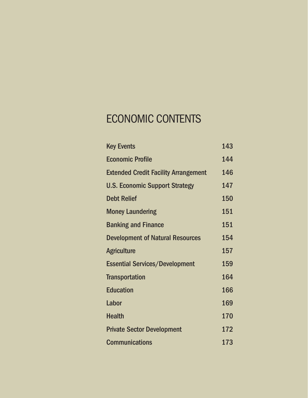# ECONOMIC CONTENTS

| <b>Key Events</b>                           | 143 |
|---------------------------------------------|-----|
| <b>Economic Profile</b>                     | 144 |
| <b>Extended Credit Facility Arrangement</b> | 146 |
| <b>U.S. Economic Support Strategy</b>       | 147 |
| <b>Debt Relief</b>                          | 150 |
| <b>Money Laundering</b>                     | 151 |
| <b>Banking and Finance</b>                  | 151 |
| <b>Development of Natural Resources</b>     | 154 |
| <b>Agriculture</b>                          | 157 |
| <b>Essential Services/Development</b>       | 159 |
| <b>Transportation</b>                       | 164 |
| <b>Education</b>                            | 166 |
| Labor                                       | 169 |
| <b>Health</b>                               | 170 |
| <b>Private Sector Development</b>           | 172 |
| <b>Communications</b>                       | 173 |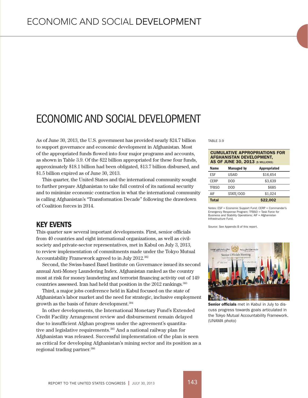# ECONOMIC AND SOCIAL DEVELOPMENT

As of June 30, 2013, the U.S. government has provided nearly \$24.7 billion to support governance and economic development in Afghanistan. Most of the appropriated funds flowed into four major programs and accounts, as shown in Table 3.9. Of the \$22 billion appropriated for these four funds, approximately \$18.1 billion had been obligated, \$13.7 billion disbursed, and \$1.5 billion expired as of June 30, 2013.

This quarter, the United States and the international community sought to further prepare Afghanistan to take full control of its national security and to minimize economic contraction in what the international community is calling Afghanistan's "Transformation Decade" following the drawdown of Coalition forces in 2014.

## KEY EVENTS

This quarter saw several important developments. First, senior officials from 40 countries and eight international organizations, as well as civilsociety and private-sector representatives, met in Kabul on July 3, 2013, to review implementation of commitments made under the Tokyo Mutual Accountability Framework agreed to in July 2012.382

Second, the Swiss-based Basel Institute on Governance issued its second annual Anti-Money Laundering Index. Afghanistan ranked as the country most at risk for money laundering and terrorist financing activity out of 149 countries assessed. Iran had held that position in the 2012 rankings.<sup>383</sup>

Third, a major jobs conference held in Kabul focused on the state of Afghanistan's labor market and the need for strategic, inclusive employment growth as the basis of future development.384

In other developments, the International Monetary Fund's Extended Credit Facility Arrangement review and disbursement remain delayed due to insufficient Afghan progress under the agreement's quantitative and legislative requirements.385 And a national railway plan for Afghanistan was released. Successful implementation of the plan is seen as critical for developing Afghanistan's mining sector and its position as a regional trading partner.386

TABLE 3.9

#### CUMULATIVE APPROPRIATIONS FOR AFGHANISTAN DEVELOPMENT, AS OF JUNE 30, 2013 (\$ MILLIONS)

| <b>Name</b>  | <b>Managed by</b> | <b>Appropriated</b> |  |
|--------------|-------------------|---------------------|--|
| <b>FSF</b>   | USAID             | \$16,654            |  |
| <b>CFRP</b>  | DOD.              | \$3,639             |  |
| TFBS0        | DOD               | \$685               |  |
| AIF          | STATE/DOD         | \$1,024             |  |
| <b>Total</b> |                   | \$22,002            |  |

Notes: ESF = Economic Support Fund; CERP = Commander's Emergency Response Program; TFBSO = Task Force for Business and Stability Operations; AIF = Afghanistan Infrastructure Fund.

Source: See Appendix B of this report.



Senior officials met in Kabul in July to discuss progress towards goals articulated in the Tokyo Mutual Accountability Framework. (UNAMA photo)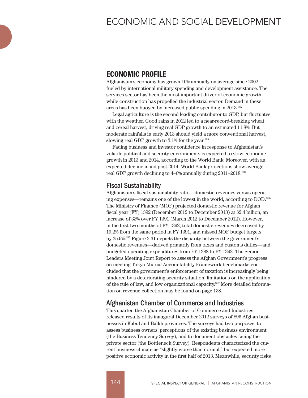# ECONOMIC PROFILE

Afghanistan's economy has grown 10% annually on average since 2002, fueled by international military spending and development assistance. The services sector has been the most important driver of economic growth, while construction has propelled the industrial sector. Demand in these areas has been buoyed by increased public spending in 2013.387

Legal agriculture is the second leading contributor to GDP, but fluctuates with the weather. Good rains in 2012 led to a near-record-breaking wheat and cereal harvest, driving real GDP growth to an estimated 11.8%. But moderate rainfalls in early 2013 should yield a more conventional harvest, slowing real GDP growth to  $3.1\%$  for the year.<sup>388</sup>

Fading business and investor confidence in response to Afghanistan's volatile political and security environments is expected to slow economic growth in 2013 and 2014, according to the World Bank. Moreover, with an expected decline in aid post-2014, World Bank projections show average real GDP growth declining to 4–6% annually during 2011–2018.389

## Fiscal Sustainability

Afghanistan's fiscal sustainability ratio—domestic revenues versus operating expenses—remains one of the lowest in the world, according to DOD. 390 The Ministry of Finance (MOF) projected domestic revenue for Afghan fiscal year (FY) 1392 (December 2012 to December 2013) at \$2.4 billion, an increase of 33% over FY 1391 (March 2012 to December 2012). However, in the first two months of FY 1392, total domestic revenues decreased by 19.2% from the same period in FY 1391, and missed MOF budget targets by 25.9%.391 Figure 3.31 depicts the disparity between the government's domestic revenues—derived primarily from taxes and customs duties—and budgeted operating expenditures from FY 1388 to FY 1392. The Senior Leaders Meeting Joint Report to assess the Afghan Government's progress on meeting Tokyo Mutual Accountability Framework benchmarks concluded that the government's enforcement of taxation is increasingly being hindered by a deteriorating security situation, limitations on the application of the rule of law, and low organizational capacity.392 More detailed information on revenue collection may be found on page 138.

## Afghanistan Chamber of Commerce and Industries

This quarter, the Afghanistan Chamber of Commerce and Industries released results of its inaugural December 2012 surveys of 896 Afghan businesses in Kabul and Balkh provinces. The surveys had two purposes: to assess business owners' perceptions of the existing business environment (the Business Tendency Survey), and to document obstacles facing the private sector (the Bottleneck Survey). Respondents characterized the current business climate as "slightly worse than normal," but expected more positive economic activity in the first half of 2013. Meanwhile, security risks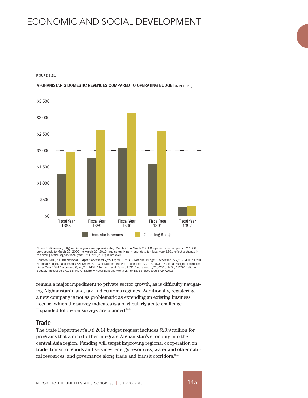FIGURE 3.31





Notes: Until recently, Afghan fiscal years ran approximately March 20 to March 20 of Gregorian calendar years. FY 1388 corresponds to March 20, 2009, to March 20, 2010, and so on. Nine–month data for fiscal year 1391 reflect a change in the timing of the Afghan fiscal year. FY 1392 (2013) is not over.

Sources: MOF, "1388 National Budget," accessed 7/2/13; MOF, "1389 National Budget," accessed 7/2/13; MOF, "1390 National Budget," accessed 7/2/13; MOF, "1391 National Budget," accessed 7/2/13; MOF, "National Budget Procedures<br>Fiscal Year 1391" accessed 6/26/13; MOF, "Annual Fiscal Report 1391," accessed 6/20/2013; MOF, "1392 Nationa

remain a major impediment to private sector growth, as is difficulty navigating Afghanistan's land, tax and customs regimes. Additionally, registering a new company is not as problematic as extending an existing business license, which the survey indicates is a particularly acute challenge. Expanded follow-on surveys are planned.393

#### **Trade**

The State Department's FY 2014 budget request includes \$20.9 million for programs that aim to further integrate Afghanistan's economy into the central Asia region. Funding will target improving regional cooperation on trade, transit of goods and services, energy resources, water and other natural resources, and governance along trade and transit corridors.394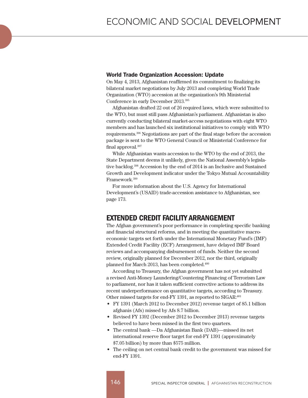#### World Trade Organization Accession: Update

On May 4, 2013, Afghanistan reaffirmed its commitment to finalizing its bilateral market negotiations by July 2013 and completing World Trade Organization (WTO) accession at the organization's 9th Ministerial Conference in early December 2013.395

Afghanistan drafted 22 out of 26 required laws, which were submitted to the WTO, but must still pass Afghanistan's parliament. Afghanistan is also currently conducting bilateral market-access negotiations with eight WTO members and has launched six institutional initiatives to comply with WTO requirements.396 Negotiations are part of the final stage before the accession package is sent to the WTO General Council or Ministerial Conference for final approval.397

While Afghanistan wants accession to the WTO by the end of 2013, the State Department deems it unlikely, given the National Assembly's legislative backlog.398 Accession by the end of 2014 is an Inclusive and Sustained Growth and Development indicator under the Tokyo Mutual Accountability Framework.399

For more information about the U.S. Agency for International Development's (USAID) trade-accession assistance to Afghanistan, see page 173.

## EXTENDED CREDIT FACILITY ARRANGEMENT

The Afghan government's poor performance in completing specific banking and financial structural reforms, and in meeting the quantitative macroeconomic targets set forth under the International Monetary Fund's (IMF) Extended Credit Facility (ECF) Arrangement, have delayed IMF Board reviews and accompanying disbursement of funds. Neither the second review, originally planned for December 2012, nor the third, originally planned for March 2013, has been completed.400

According to Treasury, the Afghan government has not yet submitted a revised Anti-Money Laundering/Countering Financing of Terrorism Law to parliament, nor has it taken sufficient corrective actions to address its recent underperformance on quantitative targets, according to Treasury. Other missed targets for end-FY 1391, as reported to SIGAR:<sup>401</sup>

- • FY 1391 (March 2012 to December 2012) revenue target of 85.1 billion afghanis (Afs) missed by Afs 8.7 billion.
- Revised FY 1392 (December 2012 to December 2013) revenue targets believed to have been missed in the first two quarters.
- The central bank —Da Afghanistan Bank (DAB)—missed its net international reserve floor target for end-FY 1391 (approximately \$7.05 billion) by more than \$575 million.
- The ceiling on net central bank credit to the government was missed for end-FY 1391.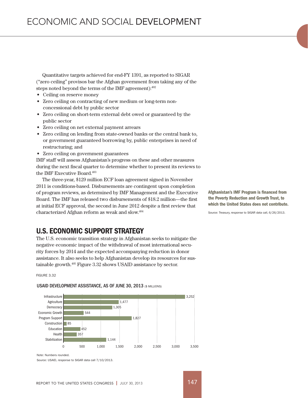Quantitative targets achieved for end-FY 1391, as reported to SIGAR ("zero ceiling" provisos bar the Afghan government from taking any of the steps noted beyond the terms of the IMF agreement):402

- Ceiling on reserve money
- Zero ceiling on contracting of new medium or long-term nonconcessional debt by public sector
- Zero ceiling on short-term external debt owed or guaranteed by the public sector
- • Zero ceiling on net external payment arrears
- Zero ceiling on lending from state-owned banks or the central bank to, or government guaranteed borrowing by, public enterprises in need of restructuring; and
- • Zero ceiling on government guarantees

IMF staff will assess Afghanistan's progress on these and other measures during the next fiscal quarter to determine whether to present its reviews to the IMF Executive Board.<sup>403</sup>

The three-year, \$129 million ECF loan agreement signed in November 2011 is conditions-based. Disbursements are contingent upon completion of program reviews, as determined by IMF Management and the Executive Board. The IMF has released two disbursements of \$18.2 million—the first at initial ECF approval, the second in June 2012 despite a first review that characterized Afghan reform as weak and slow.404

Afghanistan's IMF Program is financed from the Poverty Reduction and Growth Trust, to which the United States does not contribute.

Source: Treasury, response to SIGAR data call, 6/26/2013.

## U.S. ECONOMIC SUPPORT STRATEGY

The U.S. economic transition strategy in Afghanistan seeks to mitigate the negative economic impact of the withdrawal of most international security forces by 2014 and the expected accompanying reduction in donor assistance. It also seeks to help Afghanistan develop its resources for sustainable growth.405 Figure 3.32 shows USAID assistance by sector.

FIGURE 3.32



USAID DEVELOPMENT ASSISTANCE, AS OF JUNE 30, 2013 (\$ MILLIONS)

Note: Numbers rounded.

Source: USAID, response to SIGAR data call 7/10/2013.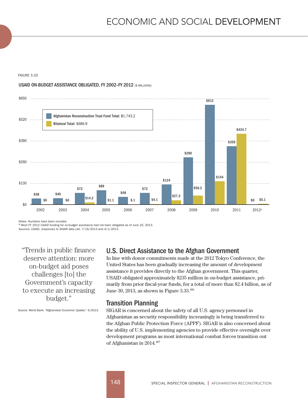#### FIGURE 3.33

#### USAID ON-BUDGET ASSISTANCE OBLIGATED, FY 2002-FY 2012 (\$ MILLIONS)



Notes: Numbers have been rounded.<br><sup>a</sup> Most FY 2012 USAID funding for on-budget assistance had not been obligated as of June 25, 2013.

Sources: USAID, responses to SIGAR data call, 7/16/2013 and 4/1/2013.

"Trends in public finance deserve attention: more on-budget aid poses challenges [to] the Government's capacity to execute an increasing budget."

Source: World Bank, "Afghanistan Economic Update," 4/2013.

# U.S. Direct Assistance to the Afghan Government

In line with donor commitments made at the 2012 Tokyo Conference, the United States has been gradually increasing the amount of development assistance it provides directly to the Afghan government. This quarter, USAID obligated approximately \$235 million in on-budget assistance, primarily from prior fiscal-year funds, for a total of more than \$2.4 billion, as of June 30, 2013, as shown in Figure 3.33. 406

#### Transition Planning

SIGAR is concerned about the safety of all U.S. agency personnel in Afghanistan as security responsibility increasingly is being transferred to the Afghan Public Protection Force (APPF). SIGAR is also concerned about the ability of U.S. implementing agencies to provide effective oversight over development programs as most international combat forces transition out of Afghanistan in 2014.407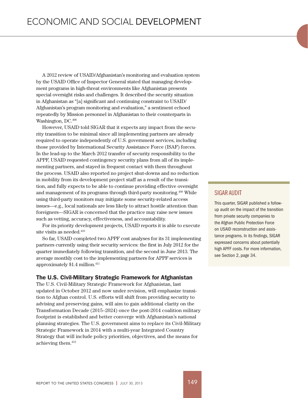A 2012 review of USAID/Afghanistan's monitoring and evaluation system by the USAID Office of Inspector General stated that managing development programs in high-threat environments like Afghanistan presents special oversight risks and challenges. It described the security situation in Afghanistan as "[a] significant and continuing constraint to USAID/ Afghanistan's program monitoring and evaluation," a sentiment echoed repeatedly by Mission personnel in Afghanistan to their counterparts in Washington, DC.  $408$ 

However, USAID told SIGAR that it expects any impact from the security transition to be minimal since all implementing partners are already required to operate independently of U.S. government services, including those provided by International Security Assistance Force (ISAF) forces. In the lead-up to the March 2012 transfer of security responsibility to the APPF, USAID requested contingency security plans from all of its implementing partners, and stayed in frequent contact with them throughout the process. USAID also reported no project shut-downs and no reduction in mobility from its development project staff as a result of the transition, and fully expects to be able to continue providing effective oversight and management of its programs through third-party monitoring.409 While using third-party monitors may mitigate some security-related access issues—e.g., local nationals are less likely to attract hostile attention than foreigners—SIGAR is concerned that the practice may raise new issues such as vetting, accuracy, effectiveness, and accountability.

For its priority development projects, USAID reports it is able to execute site visits as needed.<sup>410</sup>

So far, USAID completed two APPF cost analyses for its 31 implementing partners currently using their security services: the first in July 2012 for the quarter immediately following transition, and the second in June 2013. The average monthly cost to the implementing partners for APPF services is approximately \$1.4 million.411

#### The U.S. Civil-Military Strategic Framework for Afghanistan

The U.S. Civil-Military Strategic Framework for Afghanistan, last updated in October 2012 and now under revision, will emphasize transition to Afghan control. U.S. efforts will shift from providing security to advising and preserving gains, will aim to gain additional clarity on the Transformation Decade (2015–2024) once the post-2014 coalition military footprint is established and better converge with Afghanistan's national planning strategies. The U.S. government aims to replace its Civil-Military Strategic Framework in 2014 with a multi-year Integrated Country Strategy that will include policy priorities, objectives, and the means for achieving them.412

#### SIGAR AUDIT

This quarter, SIGAR published a followup audit on the impact of the transition from private security companies to the Afghan Public Protection Force on USAID reconstruction and assistance programs. In its findings, SIGAR expressed concerns about potentially high APFF costs. For more information, see Section 2, page 34.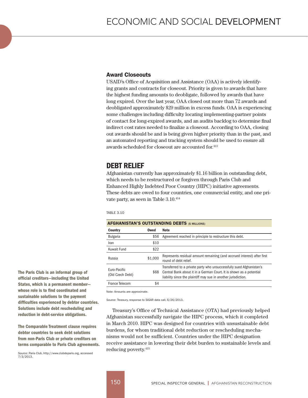#### Award Closeouts

USAID's Office of Acquisition and Assistance (OAA) is actively identifying grants and contracts for closeout. Priority is given to awards that have the highest funding amounts to deobligate, followed by awards that have long expired. Over the last year, OAA closed out more than 72 awards and deobligated approximately \$29 million in excess funds. OAA is experiencing some challenges including difficulty locating implementing-partner points of contact for long-expired awards, and an audits backlog to determine final indirect cost rates needed to finalize a closeout. According to OAA, closing out awards should be and is being given higher priority than in the past, and an automated reporting and tracking system should be used to ensure all awards scheduled for closeout are accounted for.<sup>413</sup>

## DEBT RELIEF

Afghanistan currently has approximately \$1.16 billion in outstanding debt, which needs to be restructured or forgiven through Paris Club and Enhanced Highly Indebted Poor Country (HIPC) initiative agreements. These debts are owed to four countries, one commercial entity, and one private party, as seen in Table 3.10. 414

#### TABLE 3.10

| <b>AFGHANISTAN'S OUTSTANDING DEBTS (\$ MILLIONS)</b> |         |                                                                                                                                                                                                               |  |  |
|------------------------------------------------------|---------|---------------------------------------------------------------------------------------------------------------------------------------------------------------------------------------------------------------|--|--|
| Country                                              | Owed    | Note                                                                                                                                                                                                          |  |  |
| <b>Bulgaria</b>                                      | \$56    | Agreement reached in principle to restructure this debt.                                                                                                                                                      |  |  |
| Iran                                                 | \$10    |                                                                                                                                                                                                               |  |  |
| Kuwait Fund                                          | \$22    |                                                                                                                                                                                                               |  |  |
| Russia                                               | \$1,000 | Represents residual amount remaining (and accrued interest) after first<br>round of debt relief.                                                                                                              |  |  |
| Euro-Pacific<br>(Old Czech Debt)                     | \$68    | Transferred to a private party who unsuccessfully sued Afghanistan's<br>Central Bank about it in a German Court. It is shown as a potential<br>liability since the plaintiff may sue in another jurisdiction. |  |  |
| France Telecom                                       | \$4     |                                                                                                                                                                                                               |  |  |

Note: Amounts are approximate.

Source: Treasury, response to SIGAR data call, 6/26/2013.

Treasury's Office of Technical Assistance (OTA) had previously helped Afghanistan successfully navigate the HIPC process, which it completed in March 2010. HIPC was designed for countries with unsustainable debt burdens, for whom traditional debt reduction or rescheduling mechanisms would not be sufficient. Countries under the HIPC designation receive assistance in lowering their debt burden to sustainable levels and reducing poverty.415

The Paris Club is an informal group of official creditors—including the United States, which is a permanent member whose role is to find coordinated and sustainable solutions to the payment difficulties experienced by debtor countries. Solutions include debt rescheduling and reduction in debt-service obligations.

The Comparable Treatment clause requires debtor countries to seek debt solutions from non-Paris Club or private creditors on terms comparable to Paris Club agreements.

Source: Paris Club, http://www.clubdeparis.org, accessed 7/3/2013.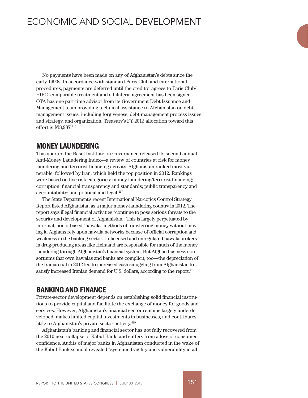No payments have been made on any of Afghanistan's debts since the early 1990s. In accordance with standard Paris Club and international procedures, payments are deferred until the creditor agrees to Paris Club/ HIPC–comparable treatment and a bilateral agreement has been signed. OTA has one part-time advisor from its Government Debt Issuance and Management team providing technical assistance to Afghanistan on debt management issues, including forgiveness, debt-management process issues and strategy, and organization. Treasury's FY 2013 allocation toward this effort is \$38,987.416

## MONEY LAUNDERING

This quarter, the Basel Institute on Governance released its second annual Anti-Money Laundering Index—a review of countries at risk for money laundering and terrorist financing activity. Afghanistan ranked most vulnerable, followed by Iran, which held the top position in 2012. Rankings were based on five risk categories: money laundering/terrorist financing; corruption; financial transparency and standards; public transparency and accountability; and political and legal.417

The State Department's recent International Narcotics Control Strategy Report listed Afghanistan as a major money-laundering country in 2012. The report says illegal financial activities "continue to pose serious threats to the security and development of Afghanistan." This is largely perpetuated by informal, honor-based "hawala" methods of transferring money without moving it. Afghans rely upon hawala networks because of official corruption and weakness in the banking sector. Unlicensed and unregulated hawala brokers in drug-producing areas like Helmand are responsible for much of the money laundering through Afghanistan's financial system. But Afghan business consortiums that own hawalas and banks are complicit, too—the depreciation of the Iranian rial in 2012 led to increased cash smuggling from Afghanistan to satisfy increased Iranian demand for U.S. dollars, according to the report.<sup>418</sup>

## BANKING AND FINANCE

Private-sector development depends on establishing solid financial institutions to provide capital and facilitate the exchange of money for goods and services. However, Afghanistan's financial sector remains largely underdeveloped, makes limited capital investments in businesses, and contributes little to Afghanistan's private-sector activity.<sup>419</sup>

Afghanistan's banking and financial sector has not fully recovered from the 2010 near-collapse of Kabul Bank, and suffers from a loss of consumer confidence. Audits of major banks in Afghanistan conducted in the wake of the Kabul Bank scandal revealed "systemic fragility and vulnerability in all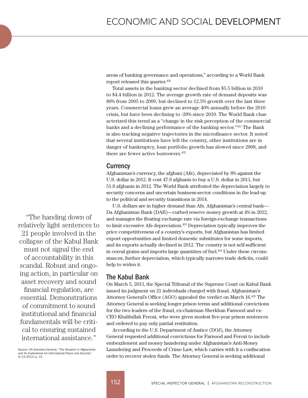areas of banking governance and operations," according to a World Bank report released this quarter.420

Total assets in the banking sector declined from \$5.5 billion in 2010 to \$4.4 billion in 2012. The average growth rate of demand deposits was 80% from 2005 to 2009, but declined to 12.5% growth over the last three years. Commercial loans grew an average 40% annually before the 2010 crisis, but have been declining to -20% since 2010. The World Bank characterized this trend as a "change in the risk perception of the commercial banks and a declining performance of the banking sector."421 The Bank is also tracking negative trajectories in the microfinance sector. It noted that several institutions have left the country, other institutions are in danger of bankruptcy, loan portfolio growth has slowed since 2008, and there are fewer active borrowers.<sup>422</sup>

#### **Currency**

Afghanistan's currency, the afghani (Afs), depreciated by 8% against the U.S. dollar in 2012. It cost 47.9 afghanis to buy a U.S. dollar in 2011, but 51.8 afghanis in 2012. The World Bank attributed the depreciation largely to security concerns and uncertain business-sector conditions in the lead-up to the political and security transitions in 2014.

U.S. dollars are in higher demand than Afs. Afghanistan's central bank— Da Afghanistan Bank (DAB)—curbed reserve money growth at 4% in 2012, and manages the floating exchange rate via foreign-exchange transactions to limit excessive Afs depreciation.<sup>423</sup> Depreciation typically improves the price competitiveness of a country's exports, but Afghanistan has limited export opportunities and limited domestic substitutes for some imports, and its exports actually declined in 2012. The country is not self-sufficient in cereal grains and imports large quantities of fuel.<sup>424</sup> Under these circumstances, further depreciation, which typically narrows trade deficits, could help to widen it.

## The Kabul Bank

On March 5, 2013, the Special Tribunal of the Supreme Court on Kabul Bank issued its judgment on 21 individuals charged with fraud. Afghanistan's Attorney General's Office (AGO) appealed the verdict on March 16.425 The Attorney General is seeking longer prison terms and additional convictions for the two leaders of the fraud, ex-chairman Sherkhan Farnood and ex-CEO Khalilullah Ferozi, who were given modest five-year prison sentences and ordered to pay only partial restitution.

According to the U.S. Department of Justice (DOJ), the Attorney General requested additional convictions for Farnood and Ferozi to include embezzlement and money laundering under Afghanistan's Anti-Money Laundering and Proceeds of Crime Law, which carries with it a confiscation order to recover stolen funds. The Attorney General is seeking additional

"The handing down of relatively light sentences to 21 people involved in the collapse of the Kabul Bank must not signal the end of accountability in this scandal. Robust and ongoing action, in particular on asset recovery and sound financial regulation, are essential. Demonstrations of commitment to sound institutional and financial fundamentals will be critical to ensuring sustained

Source: UN Secretary-General, "The Situation in Afghanistan and its Implications for International Peace and Security," 6/13/2013, p. 15.

international assistance."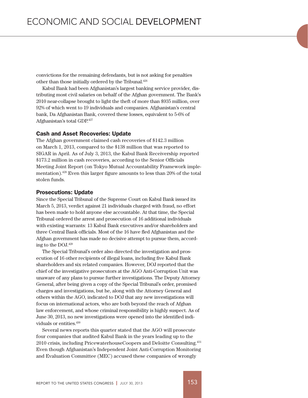convictions for the remaining defendants, but is not asking for penalties other than those initially ordered by the Tribunal.<sup>426</sup>

Kabul Bank had been Afghanistan's largest banking service provider, distributing most civil salaries on behalf of the Afghan government. The Bank's 2010 near-collapse brought to light the theft of more than \$935 million, over 92% of which went to 19 individuals and companies. Afghanistan's central bank, Da Afghanistan Bank, covered these losses, equivalent to 5-6% of Afghanistan's total GDP.427

#### Cash and Asset Recoveries: Update

The Afghan government claimed cash recoveries of \$142.3 million on March 1, 2013, compared to the \$138 million that was reported to SIGAR in April. As of July 3, 2013, the Kabul Bank Receivership reported \$173.2 million in cash recoveries, according to the Senior Officials Meeting Joint Report (on Tokyo Mutual Accountability Framework implementation).428 Even this larger figure amounts to less than 20% of the total stolen funds.

#### Prosecutions: Update

Since the Special Tribunal of the Supreme Court on Kabul Bank issued its March 5, 2013, verdict against 21 individuals charged with fraud, no effort has been made to hold anyone else accountable. At that time, the Special Tribunal ordered the arrest and prosecution of 16 additional individuals with existing warrants: 13 Kabul Bank executives and/or shareholders and three Central Bank officials. Most of the 16 have fled Afghanistan and the Afghan government has made no decisive attempt to pursue them, according to the DOJ.429

The Special Tribunal's order also directed the investigation and prosecution of 16 other recipients of illegal loans, including five Kabul Bank shareholders and six related companies. However, DOJ reported that the chief of the investigative prosecutors at the AGO Anti-Corruption Unit was unaware of any plans to pursue further investigations. The Deputy Attorney General, after being given a copy of the Special Tribunal's order, promised charges and investigations, but he, along with the Attorney General and others within the AGO, indicated to DOJ that any new investigations will focus on international actors, who are both beyond the reach of Afghan law enforcement, and whose criminal responsibility is highly suspect. As of June 30, 2013, no new investigations were opened into the identified individuals or entities.<sup>430</sup>

Several news reports this quarter stated that the AGO will prosecute four companies that audited Kabul Bank in the years leading up to the 2010 crisis, including PricewaterhouseCoopers and Deloitte Consulting.431 Even though Afghanistan's Independent Joint Anti-Corruption Monitoring and Evaluation Committee (MEC) accused these companies of wrongly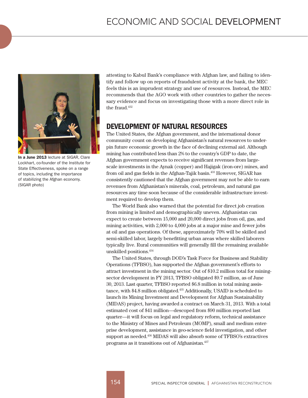

In a June 2013 lecture at SIGAR, Clare Lockhart, co-founder of the Institute for State Effectiveness, spoke on a range of topics, including the importance of stabilizing the Afghan economy. (SIGAR photo)

attesting to Kabul Bank's compliance with Afghan law, and failing to identify and follow up on reports of fraudulent activity at the bank, the MEC feels this is an imprudent strategy and use of resources. Instead, the MEC recommends that the AGO work with other countries to gather the necessary evidence and focus on investigating those with a more direct role in the fraud.<sup>432</sup>

## DEVELOPMENT OF NATURAL RESOURCES

The United States, the Afghan government, and the international donor community count on developing Afghanistan's natural resources to underpin future economic growth in the face of declining external aid. Although mining has contributed less than 2% to the country's GDP to date, the Afghan government expects to receive significant revenues from largescale investments in the Aynak (copper) and Hajigak (iron-ore) mines, and from oil and gas fields in the Afghan-Tajik basin.433 However, SIGAR has consistently cautioned that the Afghan government may not be able to earn revenues from Afghanistan's minerals, coal, petroleum, and natural gas resources any time soon because of the considerable infrastructure investment required to develop them.

The World Bank also warned that the potential for direct job creation from mining is limited and demographically uneven. Afghanistan can expect to create between 15,000 and 20,000 direct jobs from oil, gas, and mining activities, with 2,000 to 4,000 jobs at a major mine and fewer jobs at oil and gas operations. Of these, approximately 70% will be skilled and semi-skilled labor, largely benefitting urban areas where skilled laborers typically live. Rural communities will generally fill the remaining available unskilled positions.434

The United States, through DOD's Task Force for Business and Stability Operations (TFBSO), has supported the Afghan government's efforts to attract investment in the mining sector. Out of \$10.2 million total for miningsector development in FY 2013, TFBSO obligated \$9.7 million, as of June 30, 2013. Last quarter, TFBSO reported \$6.8 million in total mining assistance, with \$4.8 million obligated.435 Additionally, USAID is scheduled to launch its Mining Investment and Development for Afghan Sustainability (MIDAS) project, having awarded a contract on March 31, 2013. With a total estimated cost of \$41 million—descoped from \$90 million reported last quarter—it will focus on legal and regulatory reform, technical assistance to the Ministry of Mines and Petroleum (MOMP), small and medium enterprise development, assistance in geo-science field investigation, and other support as needed.436 MIDAS will also absorb some of TFBSO's extractives programs as it transitions out of Afghanistan.437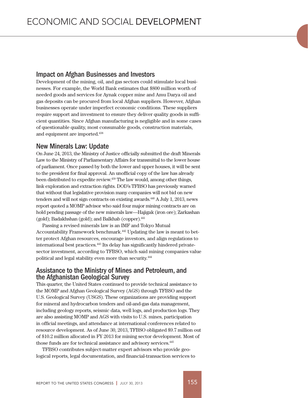#### Impact on Afghan Businesses and Investors

Development of the mining, oil, and gas sectors could stimulate local businesses. For example, the World Bank estimates that \$800 million worth of needed goods and services for Aynak copper mine and Amu Darya oil and gas deposits can be procured from local Afghan suppliers. However, Afghan businesses operate under imperfect economic conditions. These suppliers require support and investment to ensure they deliver quality goods in sufficient quantities. Since Afghan manufacturing is negligible and in some cases of questionable quality, most consumable goods, construction materials, and equipment are imported.438

#### New Minerals Law: Update

On June 24, 2013, the Ministry of Justice officially submitted the draft Minerals Law to the Ministry of Parliamentary Affairs for transmittal to the lower house of parliament. Once passed by both the lower and upper houses, it will be sent to the president for final approval. An unofficial copy of the law has already been distributed to expedite review.439 The law would, among other things, link exploration and extraction rights. DOD's TFBSO has previously warned that without that legislative provision many companies will not bid on new tenders and will not sign contracts on existing awards.<sup>440</sup> A July 1, 2013, news report quoted a MOMP advisor who said four major mining contracts are on hold pending passage of the new minerals law—Hajigak (iron ore); Zarkashan (gold); Badakhshan (gold); and Balkhab (copper).<sup>441</sup>

Passing a revised minerals law is an IMF and Tokyo Mutual Accountability Framework benchmark.442 Updating the law is meant to better protect Afghan resources, encourage investors, and align regulations to international best practices.443 Its delay has significantly hindered privatesector investment, according to TFBSO, which said mining companies value political and legal stability even more than security.444

#### Assistance to the Ministry of Mines and Petroleum, and the Afghanistan Geological Survey

This quarter, the United States continued to provide technical assistance to the MOMP and Afghan Geological Survey (AGS) through TFBSO and the U.S. Geological Survey (USGS). These organizations are providing support for mineral and hydrocarbon tenders and oil-and-gas data management, including geology reports, seismic data, well logs, and production logs. They are also assisting MOMP and AGS with visits to U.S. mines, participation in official meetings, and attendance at international conferences related to resource development. As of June 30, 2013, TFBSO obligated \$9.7 million out of \$10.2 million allocated in FY 2013 for mining sector development. Most of those funds are for technical assistance and advisory services.<sup>445</sup>

TFBSO contributes subject-matter expert advisors who provide geological reports, legal documentation, and financial-transaction services to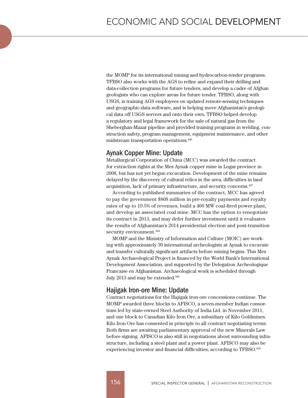the MOMP for its international mining and hydrocarbon-tender programs. TFBSO also works with the AGS to refine and expand their drilling and data-collection programs for future tenders, and develop a cadre of Afghan geologists who can explore areas for future tender. TFBSO, along with USGS, is training AGS employees on updated remote-sensing techniques and geographic-data software, and is helping move Afghanistan's geological data off USGS servers and onto their own. TFBSO helped develop a regulatory and legal framework for the sale of natural gas from the Sheberghan-Mazar pipeline and provided training programs in welding, construction safety, program management, equipment maintenance, and other midstream transportation operations.446

## Aynak Copper Mine: Update

Metallurgical Corporation of China (MCC) was awarded the contract for extraction rights at the Mes Aynak copper mine in Logar province in 2008, but has not yet begun excavation. Development of the mine remains delayed by the discovery of cultural relics in the area, difficulties in land acquisition, lack of primary infrastructure, and security concerns.447

According to published summaries of the contract, MCC has agreed to pay the government \$808 million in pre-royalty payments and royalty rates of up to 19.5% of revenues, build a 400 MW coal-fired power plant, and develop an associated coal mine. MCC has the option to renegotiate its contract in 2013, and may defer further investment until it evaluates the results of Afghanistan's 2014 presidential election and post-transition security environment.<sup>448</sup>

MOMP and the Ministry of Information and Culture (MOIC) are working with approximately 30 international archeologists at Aynak to excavate and transfer culturally significant artifacts before mining begins. This Mes Aynak Archaeological Project is financed by the World Bank's International Development Association, and supported by the Delegation Archeologique Francaise en Afghanistan. Archaeological work is scheduled through July 2013 and may be extended.449

## Hajigak Iron-ore Mine: Update

Contract negotiations for the Hajigak iron-ore concessions continue. The MOMP awarded three blocks to AFISCO, a seven-member Indian consortium led by state-owned Steel Authority of India Ltd. in November 2011, and one block to Canadian Kilo Iron Ore, a subsidiary of Kilo Goldmines. Kilo Iron Ore has consented in principle to all contract negotiating terms. Both firms are awaiting parliamentary approval of the new Minerals Law before signing. AFISCO is also still in negotiations about surrounding infrastructure, including a steel plant and a power plant. AFISCO may also be experiencing investor and financial difficulties, according to TFBSO.450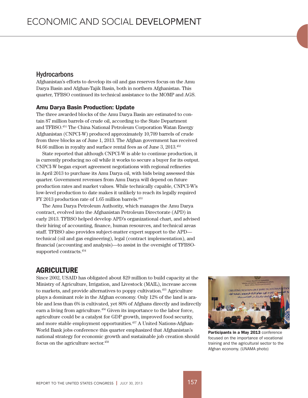#### **Hydrocarbons**

Afghanistan's efforts to develop its oil and gas reserves focus on the Amu Darya Basin and Afghan-Tajik Basin, both in northern Afghanistan. This quarter, TFBSO continued its technical assistance to the MOMP and AGS.

#### Amu Darya Basin Production: Update

The three awarded blocks of the Amu Darya Basin are estimated to contain 87 million barrels of crude oil, according to the State Department and TFBSO.451 The China National Petroleum Corporation Watan Energy Afghanistan (CNPCI-W) produced approximately 10,709 barrels of crude from three blocks as of June 1, 2013. The Afghan government has received \$4.66 million in royalty and surface rental fees as of June 3, 2013.<sup>452</sup>

State reported that although CNPCI-W is able to continue production, it is currently producing no oil while it works to secure a buyer for its output. CNPCI-W began export agreement negotiations with regional refineries in April 2013 to purchase its Amu Darya oil, with bids being assessed this quarter. Government revenues from Amu Darya will depend on future production rates and market values. While technically capable, CNPCI-W's low-level production to date makes it unlikely to reach its legally required FY 2013 production rate of 1.65 million barrels.453

The Amu Darya Petroleum Authority, which manages the Amu Darya contract, evolved into the Afghanistan Petroleum Directorate (APD) in early 2013. TFBSO helped develop APD's organizational chart, and advised their hiring of accounting, finance, human resources, and technical areas staff. TFBSO also provides subject-matter expert support to the APD technical (oil and gas engineering), legal (contract implementation), and financial (accounting and analysis)—to assist in the oversight of TFBSOsupported contracts.454

## **AGRICULTURE**

Since 2002, USAID has obligated about \$29 million to build capacity at the Ministry of Agriculture, Irrigation, and Livestock (MAIL), increase access to markets, and provide alternatives to poppy cultivation.455 Agriculture plays a dominant role in the Afghan economy. Only 12% of the land is arable and less than 6% is cultivated, yet 80% of Afghans directly and indirectly earn a living from agriculture.<sup>456</sup> Given its importance to the labor force, agriculture could be a catalyst for GDP growth, improved food security, and more stable employment opportunities.457 A United Nations-Afghan-World Bank jobs conference this quarter emphasized that Afghanistan's national strategy for economic growth and sustainable job creation should focus on the agriculture sector.458



Participants in a May 2013 conference focused on the importance of vocational training and the agricultural sector to the Afghan economy. (UNAMA photo)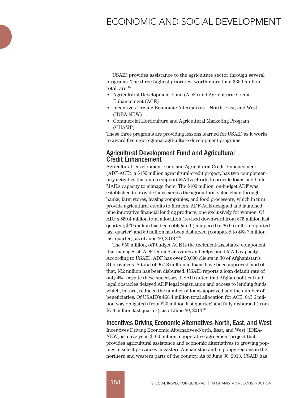USAID provides assistance to the agriculture sector through several programs. The three highest priorities, worth more than \$350 million total, are:459

- • Agricultural Development Fund (ADF) and Agricultural Credit Enhancement (ACE)
- • Incentives Driving Economic Alternatives—North, East, and West (IDEA-NEW)
- Commercial Horticulture and Agricultural Marketing Program (CHAMP)

These three programs are providing lessons learned for USAID as it works to award five new regional agriculture-development programs.

### Agricultural Development Fund and Agricultural Credit Enhancement

Agricultural Development Fund and Agricultural Credit Enhancement (ADF-ACE), a \$150 million agricultural-credit project, has two complementary activities that aim to support MAIL's efforts to provide loans and build MAIL's capacity to manage them. The \$100 million, on-budget ADF was established to provide loans across the agricultural value chain through banks, farm stores, leasing companies, and food processors, which in turn provide agricultural credits to farmers. ADF-ACE designed and launched nine innovative financial lending products, one exclusively for women. Of ADF's \$50.4 million total allocation (revised downward from \$75 million last quarter), \$29 million has been obligated (compared to \$64.6 million reported last quarter) and \$9 million has been disbursed (compared to \$53.7 million last quarter), as of June  $30, 2013$ .<sup>460</sup>

The \$50 million, off-budget ACE is the technical-assistance component that manages all ADF lending activities and helps build MAIL capacity. According to USAID, ADF has over 20,000 clients in 30 of Afghanistan's 34 provinces. A total of \$67.8 million in loans have been approved, and of that, \$32 million has been disbursed. USAID reports a loan default rate of only 4%. Despite these successes, USAID noted that Afghan political and legal obstacles delayed ADF legal registration and access to lending funds, which, in turn, reduced the number of loans approved and the number of beneficiaries. Of USAID's \$68.4 million total allocation for ACE, \$43.6 million was obligated (from \$20 million last quarter) and fully disbursed (from  $$5.8$  million last quarter), as of June 30, 2013.<sup>461</sup>

#### Incentives Driving Economic Alternatives-North, East, and West

Incentives Driving Economic Alternatives-North, East, and West (IDEA-NEW) is a five-year, \$160 million, cooperative-agreement project that provides agricultural assistance and economic alternatives to growing poppies in select provinces in eastern Afghanistan and in poppy regions in the northern and western parts of the country. As of June 30, 2013, USAID has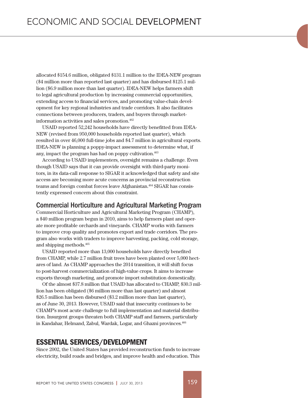allocated \$154.6 million, obligated \$131.1 million to the IDEA-NEW program (\$4 million more than reported last quarter) and has disbursed \$125.1 million (\$6.9 million more than last quarter). IDEA-NEW helps farmers shift to legal agricultural production by increasing commercial opportunities, extending access to financial services, and promoting value-chain development for key regional industries and trade corridors. It also facilitates connections between producers, traders, and buyers through marketinformation activities and sales promotion.462

USAID reported 52,242 households have directly benefitted from IDEA-NEW (revised from 950,000 households reported last quarter), which resulted in over 46,000 full-time jobs and \$4.7 million in agricultural exports. IDEA-NEW is planning a poppy-impact assessment to determine what, if any, impact the program has had on poppy cultivation.463

According to USAID implementers, oversight remains a challenge. Even though USAID says that it can provide oversight with third-party monitors, in its data-call response to SIGAR it acknowledged that safety and site access are becoming more acute concerns as provincial reconstruction teams and foreign combat forces leave Afghanistan.<sup>464</sup> SIGAR has consistently expressed concern about this constraint.

#### Commercial Horticulture and Agricultural Marketing Program

Commercial Horticulture and Agricultural Marketing Program (CHAMP), a \$40 million program begun in 2010, aims to help farmers plant and operate more profitable orchards and vineyards. CHAMP works with farmers to improve crop quality and promotes export and trade corridors. The program also works with traders to improve harvesting, packing, cold storage, and shipping methods.465

USAID reported more than 13,000 households have directly benefited from CHAMP, while 2.7 million fruit trees have been planted over 5,000 hectares of land. As CHAMP approaches the 2014 transition, it will shift focus to post-harvest commercialization of high-value crops. It aims to increase exports through marketing, and promote import substitution domestically.

Of the almost \$37.8 million that USAID has allocated to CHAMP, \$30.3 million has been obligated (\$6 million more than last quarter) and almost \$26.5 million has been disbursed (\$3.2 million more than last quarter), as of June 30, 2013. However, USAID said that insecurity continues to be CHAMP's most acute challenge to full implementation and material distribution. Insurgent groups threaten both CHAMP staff and farmers, particularly in Kandahar, Helmand, Zabul, Wardak, Logar, and Ghazni provinces.<sup>466</sup>

# ESSENTIAL SERVICES/DEVELOPMENT

Since 2002, the United States has provided reconstruction funds to increase electricity, build roads and bridges, and improve health and education. This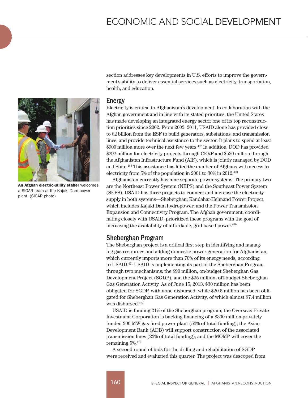

An Afghan electric-utility staffer welcomes a SIGAR team at the Kajaki Dam power plant. (SIGAR photo)

section addresses key developments in U.S. efforts to improve the government's ability to deliver essential services such as electricity, transportation, health, and education.

#### Energy

Electricity is critical to Afghanistan's development. In collaboration with the Afghan government and in line with its stated priorities, the United States has made developing an integrated energy sector one of its top reconstruction priorities since 2002. From 2002–2011, USAID alone has provided close to \$2 billion from the ESF to build generators, substations, and transmission lines, and provide technical assistance to the sector. It plans to spend at least \$900 million more over the next few years.<sup>467</sup> In addition, DOD has provided \$292 million for electricity projects through CERP and \$530 million through the Afghanistan Infrastructure Fund (AIF), which is jointly managed by DOD and State.468 This assistance has lifted the number of Afghans with access to electricity from 5% of the population in 2001 to 30% in 2012.469

Afghanistan currently has nine separate power systems. The primary two are the Northeast Power System (NEPS) and the Southeast Power System (SEPS). USAID has three projects to connect and increase the electricity supply in both systems—Sheberghan; Kandahar-Helmand Power Project, which includes Kajaki Dam hydropower; and the Power Transmission Expansion and Connectivity Program. The Afghan government, coordinating closely with USAID, prioritized these programs with the goal of increasing the availability of affordable, grid-based power.<sup>470</sup>

## Sheberghan Program

The Sheberghan project is a critical first step in identifying and managing gas resources and adding domestic power generation for Afghanistan, which currently imports more than 70% of its energy needs, according to USAID.471 USAID is implementing its part of the Sheberghan Program through two mechanisms: the \$90 million, on-budget Sheberghan Gas Development Project (SGDP), and the \$35 million, off-budget Sheberghan Gas Generation Activity. As of June 15, 2013, \$30 million has been obligated for SGDP, with none disbursed; while \$20.5 million has been obligated for Sheberghan Gas Generation Activity, of which almost \$7.4 million was disbursed.472

USAID is funding 21% of the Sheberghan program; the Overseas Private Investment Corporation is backing financing of a \$300 million privately funded 200 MW gas-fired power plant (52% of total funding); the Asian Development Bank (ADB) will support construction of the associated transmission lines (22% of total funding); and the MOMP will cover the remaining 5%.473

A second round of bids for the drilling and rehabilitation of SGDP were received and evaluated this quarter. The project was descoped from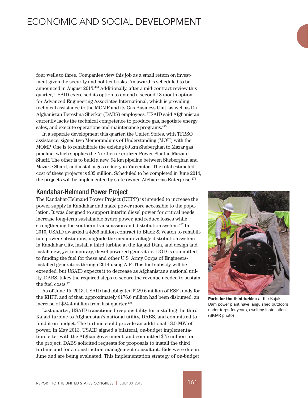four wells to three. Companies view this job as a small return on investment given the security and political risks. An award is scheduled to be announced in August 2013.474 Additionally, after a mid-contract review this quarter, USAID exercised its option to extend a second 18-month option for Advanced Engineering Associates International, which is providing technical assistance to the MOMP and its Gas Business Unit, as well as Da Afghanistan Bereshna Sherkat (DABS) employees. USAID said Afghanistan currently lacks the technical competence to produce gas, negotiate energy sales, and execute operations-and-maintenance programs.<sup>475</sup>

In a separate development this quarter, the United States, with TFBSO assistance, signed two Memorandums of Understanding (MOU) with the MOMP. One is to rehabilitate the existing 89 km Sheberghan to Mazar gas pipeline, which supplies the Northern Fertilizer Power Plant in Mazar-e-Sharif. The other is to build a new, 94 km pipeline between Sheberghan and Mazar-e-Sharif, and install a gas refinery in Yateemtaq. The total estimated cost of these projects is \$32 million. Scheduled to be completed in June 2014, the projects will be implemented by state-owned Afghan Gas Enterprise.<sup>476</sup>

#### Kandahar-Helmand Power Project

The Kandahar-Helmand Power Project (KHPP) is intended to increase the power supply in Kandahar and make power more accessible to the population. It was designed to support interim diesel power for critical needs, increase long-term sustainable hydro power, and reduce losses while strengthening the southern transmission and distribution system.477 In 2010, USAID awarded a \$266 million contract to Black & Veatch to rehabilitate power substations, upgrade the medium-voltage distribution system in Kandahar City, install a third turbine at the Kajaki Dam, and design and install new, yet temporary, diesel-powered generators. DOD is committed to funding the fuel for these and other U.S. Army Corps of Engineersinstalled generators through 2014 using AIF. This fuel subsidy will be extended, but USAID expects it to decrease as Afghanistan's national utility, DABS, takes the required steps to secure the revenue needed to sustain the fuel costs.478

As of June 15, 2013, USAID had obligated \$229.6 million of ESF funds for the KHPP, and of that, approximately \$176.6 million had been disbursed, an increase of \$24.4 million from last quarter.<sup>479</sup>

Last quarter, USAID transitioned responsibility for installing the third Kajaki turbine to Afghanistan's national utility, DABS, and committed to fund it on-budget. The turbine could provide an additional 18.5 MW of power. In May 2013, USAID signed a bilateral, on-budget implementation letter with the Afghan government, and committed \$75 million for the project. DABS solicited requests for proposals to install the third turbine and for a construction-management consultant. Bids were due in June and are being evaluated. This implementation strategy of on-budget



Parts for the third turbine at the Kajaki Dam power plant have languished outdoors under tarps for years, awaiting installation. (SIGAR photo)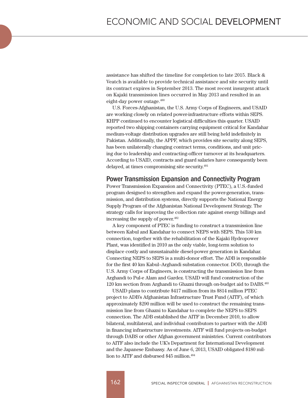assistance has shifted the timeline for completion to late 2015. Black & Veatch is available to provide technical assistance and site security until its contract expires in September 2013. The most recent insurgent attack on Kajaki transmission lines occurred in May 2013 and resulted in an eight-day power outage.<sup>480</sup>

U.S. Forces-Afghanistan, the U.S. Army Corps of Engineers, and USAID are working closely on related power-infrastructure efforts within SEPS. KHPP continued to encounter logistical difficulties this quarter. USAID reported two shipping containers carrying equipment critical for Kandahar medium-voltage distribution upgrades are still being held indefinitely in Pakistan. Additionally, the APPF, which provides site security along SEPS, has been unilaterally changing contract terms, conditions, and unit pricing due to leadership and contracting-officer turnover at its headquarters. According to USAID, contracts and guard salaries have consequently been delayed, at times compromising site security.<sup>481</sup>

#### Power Transmission Expansion and Connectivity Program

Power Transmission Expansion and Connectivity (PTEC), a U.S.-funded program designed to strengthen and expand the power-generation, transmission, and distribution systems, directly supports the National Energy Supply Program of the Afghanistan National Development Strategy. The strategy calls for improving the collection rate against energy billings and increasing the supply of power.<sup>482</sup>

A key component of PTEC is funding to construct a transmission line between Kabul and Kandahar to connect NEPS with SEPS. This 530 km connection, together with the rehabilitation of the Kajaki Hydropower Plant, was identified in 2010 as the only viable, long-term solution to displace costly and unsustainable diesel-power generation in Kandahar. Connecting NEPS to SEPS is a multi-donor effort. The ADB is responsible for the first 40 km Kabul–Arghandi substation connector. DOD, through the U.S. Army Corps of Engineers, is constructing the transmission line from Arghandi to Pul-e Alam and Gardez. USAID will fund construction of the 120 km section from Arghandi to Ghazni through on-budget aid to DABS.483

USAID plans to contribute \$417 million from its \$814 million PTEC project to ADB's Afghanistan Infrastructure Trust Fund (AITF), of which approximately \$290 million will be used to construct the remaining transmission line from Ghazni to Kandahar to complete the NEPS to SEPS connection. The ADB established the AITF in December 2010, to allow bilateral, multilateral, and individual contributors to partner with the ADB in financing infrastructure investments. AITF will fund projects on-budget through DABS or other Afghan government ministries. Current contributors to AITF also include the UK's Department for International Development and the Japanese Embassy. As of June 6, 2013, USAID obligated \$180 million to AITF and disbursed \$45 million.<sup>484</sup>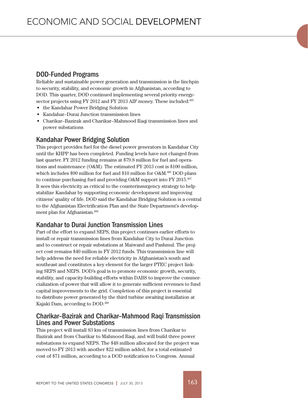## DOD-Funded Programs

Reliable and sustainable power generation and transmission is the linchpin to security, stability, and economic growth in Afghanistan, according to DOD. This quarter, DOD continued implementing several priority energysector projects using FY 2012 and FY 2013 AIF money. These included:<sup>485</sup>

- • the Kandahar Power Bridging Solution
- Kandahar–Durai Junction transmission lines
- • Charikar–Bazirak and Charikar–Mahmood Raqi transmission lines and power substations

## Kandahar Power Bridging Solution

This project provides fuel for the diesel power generators in Kandahar City until the KHPP has been completed. Funding levels have not changed from last quarter. FY 2012 funding remains at \$79.8 million for fuel and operations and maintenance (O&M). The estimated FY 2013 cost is \$100 million, which includes \$90 million for fuel and \$10 million for O&M.486 DOD plans to continue purchasing fuel and providing O&M support into FY 2015.487 It sees this electricity as critical to the counterinsurgency strategy to help stabilize Kandahar by supporting economic development and improving citizens' quality of life. DOD said the Kandahar Bridging Solution is a central to the Afghanistan Electrification Plan and the State Department's development plan for Afghanistan.488

## Kandahar to Durai Junction Transmission Lines

Part of the effort to expand SEPS, this project continues earlier efforts to install or repair transmission lines from Kandahar City to Durai Junction and to construct or repair substations at Maiwand and Pashmul. The project cost remains \$40 million in FY 2012 funds. This transmission line will help address the need for reliable electricity in Afghanistan's south and southeast and constitutes a key element for the larger PTEC project linking SEPS and NEPS. DOD's goal is to promote economic growth, security, stability, and capacity-building efforts within DABS to improve the commercialization of power that will allow it to generate sufficient revenues to fund capital improvements to the grid. Completion of this project is essential to distribute power generated by the third turbine awaiting installation at Kajaki Dam, according to DOD.489

## Charikar–Bazirak and Charikar–Mahmood Raqi Transmission Lines and Power Substations

This project will install 83 km of transmission lines from Charikar to Bazirak and from Charikar to Mahmood Raqi, and will build three power substations to expand NEPS. The \$48 million allocated for the project was moved to FY 2013 with another \$22 million added, for a total estimated cost of \$71 million, according to a DOD notification to Congress. Annual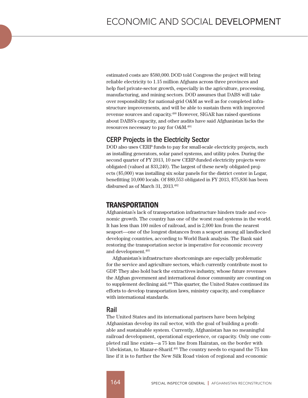estimated costs are \$580,000.DOD told Congress the project will bring reliable electricity to 1.15 million Afghans across three provinces and help fuel private-sector growth, especially in the agriculture, processing, manufacturing, and mining sectors. DOD assumes that DABS will take over responsibility for national-grid O&M as well as for completed infrastructure improvements, and will be able to sustain them with improved revenue sources and capacity.490 However, SIGAR has raised questions about DABS's capacity, and other audits have said Afghanistan lacks the resources necessary to pay for O&M.491

#### CERP Projects in the Electricity Sector

DOD also uses CERP funds to pay for small-scale electricity projects, such as installing generators, solar panel systems, and utility poles. During the second quarter of FY 2013, 10 new CERP-funded electricity projects were obligated (valued at \$33,240). The largest of these newly obligated projects (\$5,000) was installing six solar panels for the district center in Logar, benefitting 10,000 locals. Of \$89,553 obligated in FY 2013, \$75,836 has been disbursed as of March 31, 2013.492

# TRANSPORTATION

Afghanistan's lack of transportation infrastructure hinders trade and economic growth. The country has one of the worst road systems in the world. It has less than 100 miles of railroad, and is 2,000 km from the nearest seaport—one of the longest distances from a seaport among all landlocked developing countries, according to World Bank analysis. The Bank said restoring the transportation sector is imperative for economic recovery and development.493

Afghanistan's infrastructure shortcomings are especially problematic for the service and agriculture sectors, which currently contribute most to GDP. They also hold back the extractives industry, whose future revenues the Afghan government and international donor community are counting on to supplement declining aid.494 This quarter, the United States continued its efforts to develop transportation laws, ministry capacity, and compliance with international standards.

#### Rail

The United States and its international partners have been helping Afghanistan develop its rail sector, with the goal of building a profitable and sustainable system. Currently, Afghanistan has no meaningful railroad development, operational experience, or capacity. Only one completed rail line exists—a 75 km line from Hairatan, on the border with Uzbekistan, to Mazar-e-Sharif.495 The country needs to expand the 75 km line if it is to further the New Silk Road vision of regional and economic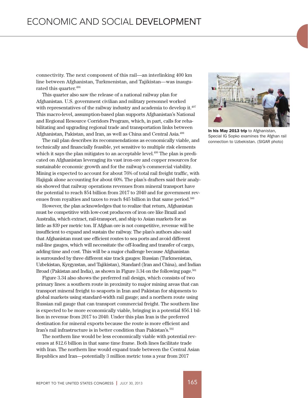connectivity. The next component of this rail—an interlinking 400 km line between Afghanistan, Turkmenistan, and Tajikistan—was inaugurated this quarter.<sup>496</sup>

This quarter also saw the release of a national railway plan for Afghanistan. U.S. government civilian and military personnel worked with representatives of the railway industry and academia to develop it.<sup>497</sup> This macro-level, assumption-based plan supports Afghanistan's National and Regional Resource Corridors Program, which, in part, calls for rehabilitating and upgrading regional trade and transportation links between Afghanistan, Pakistan, and Iran, as well as China and Central Asia.498

The rail plan describes its recommendations as economically viable, and technically and financially feasible, yet sensitive to multiple risk elements which it says the plan mitigates to an acceptable level.<sup>499</sup> The plan is predicated on Afghanistan leveraging its vast iron-ore and copper resources for sustainable economic growth and for the railway's commercial viability. Mining is expected to account for about 76% of total rail freight traffic, with Hajigak alone accounting for about 60%. The plan's drafters said their analysis showed that railway operations revenues from mineral transport have the potential to reach \$54 billion from 2017 to 2040 and for government revenues from royalties and taxes to reach \$45 billion in that same period.<sup>500</sup>

However, the plan acknowledges that to realize that return, Afghanistan must be competitive with low-cost producers of iron ore like Brazil and Australia, which extract, rail-transport, and ship to Asian markets for as little as \$39 per metric ton. If Afghan ore is not competitive, revenue will be insufficient to expand and sustain the railway. The plan's authors also said that Afghanistan must use efficient routes to sea ports and avoid different rail-line gauges, which will necessitate the off-loading and transfer of cargo, adding time and cost. This will be a major challenge because Afghanistan is surrounded by three different size track gauges: Russian (Turkmenistan, Uzbekistan, Kyrgyzstan, and Tajikistan), Standard (Iran and China), and Indian Broad (Pakistan and India), as shown in Figure 3.34 on the following page.<sup>501</sup>

Figure 3.34 also shows the preferred rail design, which consists of two primary lines: a southern route in proximity to major mining areas that can transport mineral freight to seaports in Iran and Pakistan for shipments to global markets using standard-width rail gauge; and a northern route using Russian rail gauge that can transport commercial freight. The southern line is expected to be more economically viable, bringing in a potential \$56.1 billion in revenue from 2017 to 2040. Under this plan Iran is the preferred destination for mineral exports because the route is more efficient and Iran's rail infrastructure is in better condition than Pakistan's.<sup>502</sup>

The northern line would be less economically viable with potential revenues at \$12.6 billion in that same time frame. Both lines facilitate trade with Iran. The northern line would expand trade between the Central Asian Republics and Iran—potentially 3 million metric tons a year from 2017



In his May 2013 trip to Afghanistan, Special IG Sopko examines the Afghan rail connection to Uzbekistan. (SIGAR photo)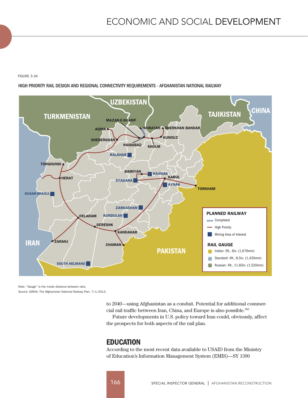FIGURE 3.34

HIGH PRIORITY RAIL DESIGN AND REGIONAL CONNECTIVITY REQUIREMENTS - AFGHANISTAN NATIONAL RAILWAY



Note: "Gauge" is the inside distance between rails. Source: GIROA, The Afghanistan National Railway Plan, 7/1/2013.

> to 2040—using Afghanistan as a conduit. Potential for additional commercial rail traffic between Iran, China, and Europe is also possible.<sup>503</sup>

> Future developments in U.S. policy toward Iran could, obviously, affect the prospects for both aspects of the rail plan.

# **EDUCATION**

According to the most recent data available to USAID from the Ministry of Education's Information Management System (EMIS)—SY 1390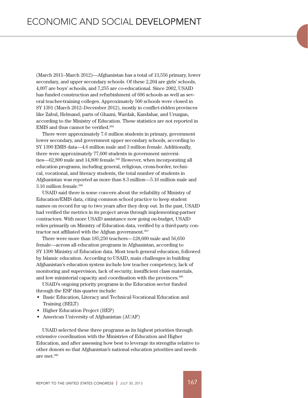(March 2011–March 2012)—Afghanistan has a total of 13,556 primary, lower secondary, and upper secondary schools. Of these 2,204 are girls' schools, 4,097 are boys' schools, and 7,255 are co-educational. Since 2002, USAID has funded construction and refurbishment of 696 schools as well as several teacher-training colleges. Approximately 500 schools were closed in SY 1391 (March 2012–December 2012), mostly in conflict-ridden provinces like Zabul, Helmand, parts of Ghazni, Wardak, Kandahar, and Uruzgan, according to the Ministry of Education. These statistics are not reported in EMIS and thus cannot be verified.504

There were approximately 7.6 million students in primary, government lower secondary, and government upper secondary schools, according to SY 1390 EMIS data—4.6 million male and 3 million female. Additionally, there were approximately 77,600 students in government universities—62,800 male and 14,800 female.<sup>505</sup> However, when incorporating all education programs, including general, religious, cross-border, technical, vocational, and literacy students, the total number of students in Afghanistan was reported as more than 8.3 million—5.16 million male and 3.16 million female.506

USAID said there is some concern about the reliability of Ministry of Education/EMIS data, citing common school practice to keep student names on record for up to two years after they drop out. In the past, USAID had verified the metrics in its project areas through implementing-partner contractors. With more USAID assistance now going on-budget, USAID relies primarily on Ministry of Education data, verified by a third-party contractor not affiliated with the Afghan government.<sup>507</sup>

There were more than 185,250 teachers—128,600 male and 56,650 female—across all education programs in Afghanistan, according to SY 1390 Ministry of Education data. Most teach general education, followed by Islamic education. According to USAID, main challenges in building Afghanistan's education system include low teacher competency, lack of monitoring and supervision, lack of security, insufficient class materials, and low ministerial capacity and coordination with the provinces.<sup>508</sup>

USAID's ongoing priority programs in the Education sector funded through the ESF this quarter include:

- • Basic Education, Literacy and Technical-Vocational Education and Training (BELT)
- Higher Education Project (HEP)
- American University of Afghanistan (AUAF)

USAID selected these three programs as its highest priorities through extensive coordination with the Ministries of Education and Higher Education, and after assessing how best to leverage its strengths relative to other donors so that Afghanistan's national education priorities and needs are met.509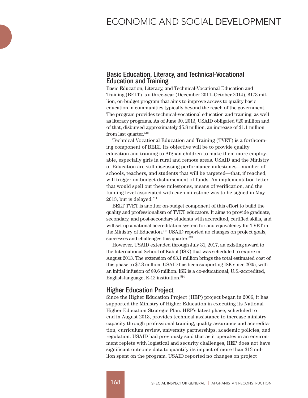#### Basic Education, Literacy, and Technical-Vocational Education and Training

Basic Education, Literacy, and Technical-Vocational Education and Training (BELT) is a three-year (December 2011–October 2014), \$173 million, on-budget program that aims to improve access to quality basic education in communities typically beyond the reach of the government. The program provides technical-vocational education and training, as well as literacy programs. As of June 30, 2013, USAID obligated \$20 million and of that, disbursed approximately \$5.8 million, an increase of \$1.1 million from last quarter.<sup>510</sup>

Technical Vocational Education and Training (TVET) is a forthcoming component of BELT. Its objective will be to provide quality education and training to Afghan children to make them more employable, especially girls in rural and remote areas. USAID and the Ministry of Education are still discussing performance milestones—number of schools, teachers, and students that will be targeted—that, if reached, will trigger on-budget disbursement of funds. An implementation letter that would spell out these milestones, means of verification, and the funding level associated with each milestone was to be signed in May  $2013$ , but is delayed.<sup>511</sup>

BELT TVET is another on-budget component of this effort to build the quality and professionalism of TVET educators. It aims to provide graduate, secondary, and post-secondary students with accredited, certified skills, and will set up a national accreditation system for and equivalency for TVET in the Ministry of Education.512 USAID reported no changes on project goals, successes and challenges this quarter.<sup>513</sup>

However, USAID extended through July 31, 2017, an existing award to the International School of Kabul (ISK) that was scheduled to expire in August 2013. The extension of \$3.1 million brings the total estimated cost of this phase to \$7.3 million. USAID has been supporting ISK since 2005, with an initial infusion of \$9.6 million. ISK is a co-educational, U.S.-accredited, English-language, K-12 institution.514

## Higher Education Project

Since the Higher Education Project (HEP) project began in 2006, it has supported the Ministry of Higher Education in executing its National Higher Education Strategic Plan. HEP's latest phase, scheduled to end in August 2013, provides technical assistance to increase ministry capacity through professional training, quality assurance and accreditation, curriculum review, university partnerships, academic policies, and regulation. USAID had previously said that as it operates in an environment replete with logistical and security challenges, HEP does not have significant outcome data to quantify its impact of more than \$13 million spent on the program. USAID reported no changes on project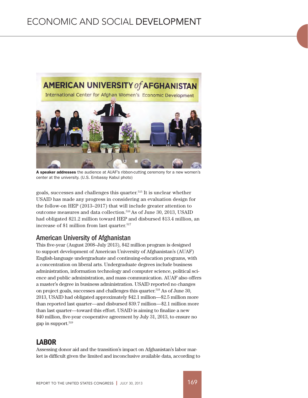

A speaker addresses the audience at AUAF's ribbon-cutting ceremony for a new women's center at the university. (U.S. Embassy Kabul photo)

goals, successes and challenges this quarter.515 It is unclear whether USAID has made any progress in considering an evaluation design for the follow-on HEP (2013–2017) that will include greater attention to outcome measures and data collection.<sup>516</sup> As of June 30, 2013, USAID had obligated \$21.2 million toward HEP and disbursed \$13.4 million, an increase of \$1 million from last quarter.<sup>517</sup>

# American University of Afghanistan

This five-year (August 2008–July 2013), \$42 million program is designed to support development of American University of Afghanistan's (AUAF) English-language undergraduate and continuing-education programs, with a concentration on liberal arts. Undergraduate degrees include business administration, information technology and computer science, political science and public administration, and mass communication. AUAF also offers a master's degree in business administration. USAID reported no changes on project goals, successes and challenges this quarter.<sup>518</sup> As of June 30, 2013, USAID had obligated approximately \$42.1 million—\$2.5 million more than reported last quarter—and disbursed \$39.7 million—\$2.1 million more than last quarter—toward this effort. USAID is aiming to finalize a new \$40 million, five-year cooperative agreement by July 31, 2013, to ensure no gap in support.519

# LABOR

Assessing donor aid and the transition's impact on Afghanistan's labor market is difficult given the limited and inconclusive available data, according to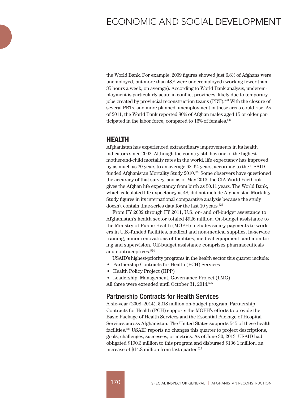the World Bank. For example, 2009 figures showed just 6.8% of Afghans were unemployed, but more than 48% were underemployed (working fewer than 35 hours a week, on average). According to World Bank analysis, underemployment is particularly acute in conflict provinces, likely due to temporary jobs created by provincial reconstruction teams (PRT).<sup>520</sup> With the closure of several PRTs, and more planned, unemployment in these areas could rise. As of 2011, the World Bank reported 80% of Afghan males aged 15 or older participated in the labor force, compared to 16% of females.<sup>521</sup>

## HEALTH

Afghanistan has experienced extraordinary improvements in its health indicators since 2002. Although the country still has one of the highest mother-and-child mortality rates in the world, life expectancy has improved by as much as 20 years to an average 62–64 years, according to the USAIDfunded Afghanistan Mortality Study 2010.522 Some observers have questioned the accuracy of that survey, and as of May 2013, the CIA World Factbook gives the Afghan life expectancy from birth as 50.11 years. The World Bank, which calculated life expectancy at 48, did not include Afghanistan Mortality Study figures in its international comparative analysis because the study doesn't contain time-series data for the last 10 years.<sup>523</sup>

From FY 2002 through FY 2011, U.S. on- and off-budget assistance to Afghanistan's health sector totaled \$926 million. On-budget assistance to the Ministry of Public Health (MOPH) includes salary payments to workers in U.S.-funded facilities, medical and non-medical supplies, in-service training, minor renovations of facilities, medical equipment, and monitoring and supervision. Off-budget assistance comprises pharmaceuticals and contraceptives.524

USAID's highest-priority programs in the health sector this quarter include:

- • Partnership Contracts for Health (PCH) Services
- Health Policy Project (HPP)
- • Leadership, Management, Governance Project (LMG)

All three were extended until October 31, 2014.<sup>525</sup>

## Partnership Contracts for Health Services

A six-year (2008–2014), \$218 million on-budget program, Partnership Contracts for Health (PCH) supports the MOPH's efforts to provide the Basic Package of Health Services and the Essential Package of Hospital Services across Afghanistan. The United States supports 545 of these health facilities.526 USAID reports no changes this quarter to project descriptions, goals, challenges, successes, or metrics. As of June 30, 2013, USAID had obligated \$190.3 million to this program and disbursed \$136.1 million, an increase of \$14.8 million from last quarter.527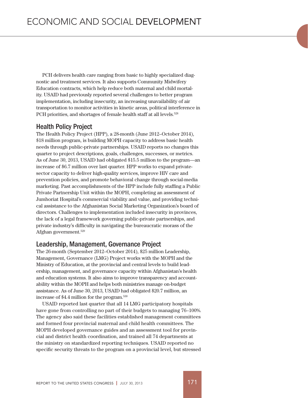PCH delivers health care ranging from basic to highly specialized diagnostic and treatment services. It also supports Community Midwifery Education contracts, which help reduce both maternal and child mortality. USAID had previously reported several challenges to better program implementation, including insecurity, an increasing unavailability of air transportation to monitor activities in kinetic areas, political interference in PCH priorities, and shortages of female health staff at all levels.<sup>528</sup>

## Health Policy Project

The Health Policy Project (HPP), a 28-month (June 2012–October 2014), \$18 million program, is building MOPH capacity to address basic health needs through public-private partnerships. USAID reports no changes this quarter to project descriptions, goals, challenges, successes, or metrics. As of June 30, 2013, USAID had obligated \$15.5 million to the program—an increase of \$6.7 million over last quarter. HPP works to expand privatesector capacity to deliver high-quality services, improve HIV care and prevention policies, and promote behavioral change through social-media marketing. Past accomplishments of the HPP include fully staffing a Public Private Partnership Unit within the MOPH, completing an assessment of Jumhoriat Hospital's commercial viability and value, and providing technical assistance to the Afghanistan Social Marketing Organization's board of directors. Challenges to implementation included insecurity in provinces, the lack of a legal framework governing public-private partnerships, and private industry's difficulty in navigating the bureaucratic morass of the Afghan government.529

## Leadership, Management, Governance Project

The 26-month (September 2012–October 2014), \$25 million Leadership, Management, Governance (LMG) Project works with the MOPH and the Ministry of Education, at the provincial and central levels to build leadership, management, and governance capacity within Afghanistan's health and education systems. It also aims to improve transparency and accountability within the MOPH and helps both ministries manage on-budget assistance. As of June 30, 2013, USAID had obligated \$20.7 million, an increase of \$4.4 million for the program.530

USAID reported last quarter that all 14 LMG participatory hospitals have gone from controlling no part of their budgets to managing 76–100%. The agency also said these facilities established management committees and formed four provincial maternal and child health committees. The MOPH developed governance guides and an assessment tool for provincial and district health coordination, and trained all 74 departments at the ministry on standardized reporting techniques. USAID reported no specific security threats to the program on a provincial level, but stressed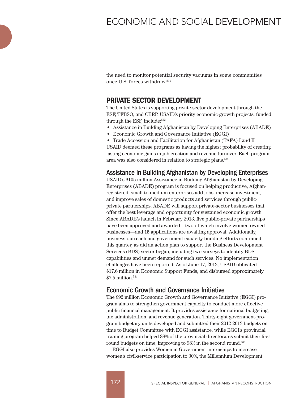the need to monitor potential security vacuums in some communities once U.S. forces withdraw.531

# PRIVATE SECTOR DEVELOPMENT

The United States is supporting private-sector development through the ESF, TFBSO, and CERP. USAID's priority economic-growth projects, funded through the ESF, include:<sup>532</sup>

- • Assistance in Building Afghanistan by Developing Enterprises (ABADE)
- Economic Growth and Governance Initiative (EGGI)
- Trade Accession and Facilitation for Afghanistan (TAFA) I and II

USAID deemed these programs as having the highest probability of creating lasting economic gains in job creation and revenue turnover. Each program area was also considered in relation to strategic plans.<sup>533</sup>

#### Assistance in Building Afghanistan by Developing Enterprises

USAID's \$105 million Assistance in Building Afghanistan by Developing Enterprises (ABADE) program is focused on helping productive, Afghanregistered, small-to-medium enterprises add jobs, increase investment, and improve sales of domestic products and services through publicprivate partnerships. ABADE will support private-sector businesses that offer the best leverage and opportunity for sustained economic growth. Since ABADE's launch in February 2013, five public-private partnerships have been approved and awarded—two of which involve women-owned businesses—and 15 applications are awaiting approval. Additionally, business-outreach and government capacity-building efforts continued this quarter, as did an action plan to support the Business Development Services (BDS) sector began, including two surveys to identify BDS capabilities and unmet demand for such services. No implementation challenges have been reported. As of June 17, 2013, USAID obligated \$17.6 million in Economic Support Funds, and disbursed approximately  $$7.5$  million  $$^{534}$ 

## Economic Growth and Governance Initiative

The \$92 million Economic Growth and Governance Initiative (EGGI) program aims to strengthen government capacity to conduct more effective public financial management. It provides assistance for national budgeting, tax administration, and revenue generation. Thirty-eight government-program budgetary units developed and submitted their 2012-2013 budgets on time to Budget Committee with EGGI assistance, while EGGI's provincial training program helped 88% of the provincial directorates submit their firstround budgets on time, improving to 98% in the second round.<sup>535</sup>

EGGI also provides Women in Government internships to increase women's civil-service participation to 30%, the Millennium Development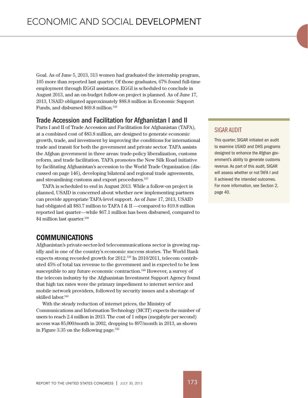Goal. As of June 5, 2013, 313 women had graduated the internship program, 105 more than reported last quarter. Of those graduates, 67% found full-time employment through EGGI assistance.EGGI is scheduled to conclude in August 2013, and an on-budget follow-on project is planned. As of June 17, 2013, USAID obligated approximately \$88.8 million in Economic Support Funds, and disbursed \$69.8 million.536

## Trade Accession and Facilitation for Afghanistan I and II

Parts I and II of Trade Accession and Facilitation for Afghanistan (TAFA), at a combined cost of \$83.8 million, are designed to generate economic growth, trade, and investment by improving the conditions for international trade and transit for both the government and private sector. TAFA assists the Afghan government in three areas: trade-policy liberalization, customs reform, and trade facilitation. TAFA promotes the New Silk Road initiative by facilitating Afghanistan's accession to the World Trade Organization (discussed on page 146), developing bilateral and regional trade agreements, and streamlining customs and export procedures.537

TAFA is scheduled to end in August 2013. While a follow-on project is planned, USAID is concerned about whether new implementing partners can provide appropriate TAFA-level support. As of June 17, 2013, USAID had obligated all \$83.7 million to TAFA I & II —compared to \$19.8 million reported last quarter—while \$67.1 million has been disbursed, compared to \$4 million last quarter.<sup>538</sup>

# COMMUNICATIONS

Afghanistan's private-sector-led telecommunications sector is growing rapidly and is one of the country's economic success stories. The World Bank expects strong recorded growth for 2012.539 In 2010/2011, telecom contributed 45% of total tax revenue to the government and is expected to be less susceptible to any future economic contraction.<sup>540</sup> However, a survey of the telecom industry by the Afghanistan Investment Support Agency found that high tax rates were the primary impediment to internet service and mobile network providers, followed by security issues and a shortage of skilled labor.<sup>541</sup>

With the steady reduction of internet prices, the Ministry of Communications and Information Technology (MCIT) expects the number of users to reach 2.4 million in 2013. The cost of 1 mbps (megabyte per second) access was \$5,000/month in 2002, dropping to \$97/month in 2013, as shown in Figure 3.35 on the following page.<sup>542</sup>

#### SIGAR AUDIT

This quarter, SIGAR initiated an audit to examine USAID and DHS programs designed to enhance the Afghan government's ability to generate customs revenue. As part of this audit, SIGAR will assess whether or not TAFA I and II achieved the intended outcomes. For more information, see Section 2, page 40.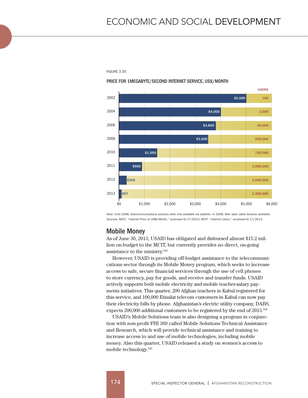FIGURE 3.35

#### PRICE FOR 1MEGABYTE/SECOND INTERNET SERVICE, US\$/MONTH



Note: Until 2008, telecommunications services were only available via satellite. In 2008, fiber optic cable became available. Sources: MCIT, "Internet Price of 1MB/Month," accessed 6/17/2013; MCIT, "Internet Users," accessed 6/17/2013.

## Mobile Money

As of June 30, 2013, USAID has obligated and disbursed almost \$15.2 million on-budget to the MCIT, but currently provides no direct, on-going assistance to the ministry.543

However, USAID is providing off-budget assistance to the telecommunications sector through its Mobile Money program, which seeks to increase access to safe, secure financial services through the use of cell phones to store currency, pay for goods, and receive and transfer funds. USAID actively supports both mobile electricity and mobile teacher-salary payments initiatives. This quarter, 200 Afghan teachers in Kabul registered for this service, and 100,000 Etisalat telecom customers in Kabul can now pay their electricity bills by phone. Afghanistan's electric utility company, DABS, expects 200,000 additional customers to be registered by the end of 2013.<sup>544</sup>

USAID's Mobile Solutions team is also designing a program in conjunction with non-profit FHI 360 called Mobile Solutions Technical Assistance and Research, which will provide technical assistance and training to increase access to and use of mobile technologies, including mobile money. Also this quarter, USAID released a study on women's access to mobile technology.545